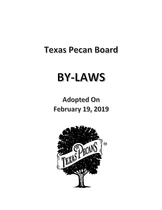# **Texas Pecan Board**

# **BY-LAWS**

# **Adopted On February 19, 2019**

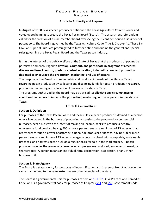#### **Article I – Authority and Purpose**

In August of 1998 Texas pecan producers petitioned the Texas Agriculture Commissioner and voted overwhelming to create the Texas Pecan Board (Board). The assessment referendum called for the creation of a nine-member board overseeing the ½ cent per pound assessment of pecans sold. The Board is governed by the Texas Agriculture Code, Title 3, Chapter 41. These By-Laws and Special Rules are promulgated to further define and outline the general and special rules governing the Texas Pecan Board and the Texas pecan industry.

It is in the interest of the public welfare of the State of Texas that the producers of pecans be permitted and encouraged **to develop, carry out, and participate in programs of research, disease and insect control, predator control, education, indemnification, and promotion designed to encourage the production, marketing, and use of pecans.**

The purpose of the Board is to serve public and producer interests of the State of Texas regarding pecan production by collecting and dispersing funds for pecan production research, promotion, marketing and education of pecans in the state of Texas.

The programs authorized by the Board may be devised to: **alleviate any circumstance or condition that serves to impede the production, marketing, or use of pecans in the state of Texas.**

# **Section 1. Definition**

# **Article II. General Rules**

For purposes of the Texas Pecan Board and these rules, a pecan producer is defined as a person who is in engaged in the business of producing or causing to be produced for commercial purposes, pecan nuts with the intent of making an income, seeks to produce a healthy, wholesome food product, having 500 or more pecan trees on a minimum of 15 acres or that represents through a power of attorney, a bona-fide producer of pecans, having 500 or more pecan trees on a minimum of 15 acres, manages a pecan orchard with acceptable, sustainable practices, and harvests pecan nuts on a regular basis for sale in the marketplace. A pecan producer includes the owner of a farm on which pecans are produced, an owner's tenant, or sharecropper. A person means an individual, firm, corporation, association, or any other business unit.

# **Section 2. State Agency**

The Board is a state agency for purposes of indemnification and is exempt from taxation in the same manner and to the same extent as are other agencies of the state.

The Board is a governmental unit for purposes of Section 101.001, Civil Practice and Remedies Code, and is a governmental body for purposes of Chapters 551 and 552, Government Code.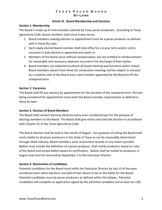#### **Article III. Board Membership and Elections**

#### **Section 1. Membership**

The Board is made up of nine-members elected by Texas pecan producers. According to Texas Agriculture Code, Board members shall serve 6-year terms.

- 1. Board members seeking election or appointment must be a pecan producer as defined with in these By-Laws.
- *2.* Each newly elected Board member shall hold office for a 6-year term and/or until a successor is duly elected or appointed and sworn in.
- *3.* Members of the Board serve without compensation, but are entitled to reimbursement for reasonable and necessary expenses incurred in the discharge of their duties.
- *4.* Board members are expected to attend all board meeting and functions within reason. Board members absent from three (3) consecutive meetings will be subject to removal by a majority vote of the Board and a new member appointed by the Board to fill the unexpired term.

# **Section 2. Vacancies**

The Board shall fill any vacancy by appointment for the duration of the unexpired term. Persons being considered for appointment must meet the Board member requirements as defined in these by-laws.

# **Section 3. Election of Board Members**

The Board shall conduct biennial elections every even numbered year for the purpose of electing members to the Board. The Board shall give notice and hold the election in accordance with Chapter 41 of the Texas Agriculture Code.

The Board election shall be held in the month of August. For purposes of voting the Board shall send a ballot to all pecan producers in the State of Texas as can be reasonably determined through allied industry, Board members, prior assessment records or any means possible. Ballots must include the definition of a pecan producer, shall certify producers based on rules of the Board and accept ballots based on certification. Ballots shall be mailed to producers in August and must be returned by September 1 to the Executive Director.

# **Section 4. Nomination of Candidates**

Potential candidates for the Board must notify the Executive Director by July 15 of the even numbered years when elections are held of their desire to be on the ballot for the Board. Potential candidates must be pecan producers as defined within the bylaws. Potential candidates will complete an application signed by the potential candidate and at least ten (10)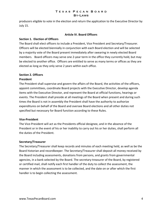producers eligible to vote in the election and return the application to the Executive Director by July 15.

#### **Article IV. Board Officers**

#### **Section 1. Election of Officers**

The Board shall elect officers to include a President, Vice President and Secretary/Treasurer. Officers will be elected biennially in conjunction with each Board election and will be selected by a majority vote of the Board present immediately after swearing in newly elected Board members. Board officers may serve one 2-year term in the office they currently hold, but may be elected to another office. Officers are entitled to serve as many terms or offices as they are elected as long as they only serve 2 years within each office.

## **Section 2. Officers**

#### **President**

The President shall supervise and govern the affairs of the Board, the activities of the officers, appoint committees, coordinate Board projects with the Executive Director, develop agenda items with the Executive Director, and represent the Board at official functions, hearings or events. The President shall preside at all meetings of the Board when present and during such times the Board is not in assembly the President shall have the authority to authorize expenditures on behalf of the Board and oversee Board elections and all other duties not specified but necessary for Board function according to these Rules.

#### **Vice-President**

The Vice-President will act as the Presidents official designee, and in the absence of the President or in the event of his or her inability to carry out his or her duties, shall perform all the duties of the President.

#### **Secretary/Treasurer**

The Secretary/Treasurer shall keep records and minutes of each meeting held, as well as be the Board historian and recordkeeper. The Secretary/Treasurer shall deposit all money received by the Board including assessments, donations from persons, and grants from governmental agencies, in a bank selected by the Board. The secretary-treasurer of the Board, by registered or certified mail, shall notify each first handler of the duty to collect the assessment, the manner in which the assessment is to be collected, and the date on or after which the first handler is to begin collecting the assessment.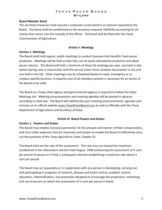#### **Board Member Bond**

The secretary-treasurer shall execute a corporate surety bond in an amount required by the Board. The bond shall be conditioned on the secretary-treasurer faithfully accounting for all money that comes into the custody of the officer. The bond shall be filed with the Texas Commissioner of Agriculture.

#### **Article V. Meetings**

#### **Section 1. Meetings**

The Board shall hold regular, public meetings to conduct business that benefits Texas pecan producers. Meetings will be held so that they can be easily attended by producers and allied pecan industry. The Board will hold a minimum of three (3) meetings per year, one held in late winter/spring, one in conjunction with the annual Texas Pecan Growers Association in July and one held in the fall. Other meetings may be scheduled based on need, emergency or to conduct specific business. A majority vote of all members present is necessary for an action of the Board to be valid.

The Board as a Texas state agency and governmental agency is required to follow the Open Meetings Act. Meeting announcements and meeting agendas will be posted in advance according to state law. The Board will additionally post meeting announcements, agendas and minutes on its official website www.TexasPecanBoard.com as well as officially with the Texas Department of Agriculture and Secretary of State.

#### **Article VI. Board Powers and Duties**

#### **Section 1. Powers and Duties**

The Board may employ necessary personnel, fix the amount and manner of their compensation, and incur other expenses that are necessary and proper to enable the Board to effectively carry out the purposes of the Texas Agriculture Code, Chapter 41.

The Board shall set the rate of the assessment. The rate may not exceed the maximum established in the referendum election held August, 1998 authorizing the assessment of  $\frac{1}{2}$  cent per pound of pecans or if held, a subsequent election establishing a maximum rate above  $\frac{1}{2}$ cent per pound.

The Board may act separately or in cooperation with any person in developing, carrying out, and participating in programs of research, disease and insect control, predator control, education, indemnification, and promotion designed to encourage the production, marketing, and use of pecans on which the assessment of ½ cent per pound is levied.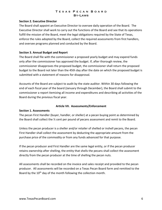#### **Section 2. Executive Director**

The Board shall appoint an Executive Director to oversee daily operation of the Board. The Executive Director shall work to carry out the functions of the Board and see that its operations fulfill the mission of the Board, meet the legal obligations required by the State of Texas, enforce the rules adopted by the Board, collect the required assessments from first handlers, and oversee programs planned and conducted by the Board.

#### **Section 3. Annual Budget and Report**

The Board shall file with the commissioner a proposed yearly budget and may expend funds only after the commissioner has approved the budget. If, after thorough review, the commissioner disapproves the proposed budget, the commissioner shall return the proposed budget to the Board not later than the 45th day after the date on which the proposed budget is submitted with a statement of reasons for disapproval.

Accounts of the Board are subject to audit by the state auditor. Within 30 days following the end of each fiscal year of the board (January through December), the Board shall submit to the commissioner a report itemizing all income and expenditures and describing all activities of the Board during the previous fiscal year.

#### **Article VII. Assessments/Enforcement**

#### **Section 1. Assessments**

The pecan First Handler (buyer, handler, or sheller) at a pecan buying point as determined by the Board shall collect the ½ cent per pound of pecans assessment and remit to the Board.

Unless the pecan producer is a sheller and/or retailer of shelled or inshell pecans, the pecan First Handler shall collect the assessment by deducting the appropriate amount from the purchase price of the commodity or from any funds advanced for that purpose.

If the pecan producer and First Handler are the same legal entity, or if the pecan producer retains ownership after shelling, the entity that shells the pecans shall collect the assessment directly from the pecan producer at the time of shelling the pecan nuts.

All assessments shall be recorded on the invoice and sales receipt and provided to the pecan producer. All assessments will be recorded on a Texas Pecan Board form and remitted to the Board by the  $10<sup>th</sup>$  day of the month following the collection month.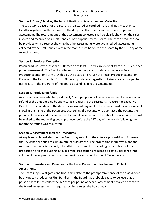# **Section 2. Buyer/Handler/Sheller Notification of Assessment and Collection**

The secretary-treasurer of the Board, by registered or certified mail, shall notify each First Handler registered with the Board of the duty to collect the  $\frac{1}{2}$  cent per pound of pecan assessment. The total amount of the assessment collected shall be clearly shown on the sales invoice and recorded on a First Handler Form supplied by the Board. The pecan producer shall be provided with a receipt showing that the assessments were deducted. All assessments collected by the First Handler within the month must be sent to the Board by the 10<sup>th</sup> day of the following month.

#### **Section 3. Producer Exemption**

Pecan producers with less than 500 trees on at least 15 acres are exempt from the 1/2 cent per pound assessment. The First Handler must have the pecan producer complete a Pecan Producer Exemption Form provided by the Board and return the Pecan Producer Exemption Form with the First Handler Form. All pecan producers, regardless of size, are encouraged to participate in the programs of the Board by sending in your assessments.

#### **Section 4. Producer Refunds**

Any pecan producer who has paid the 1/2 cent per pound of pecans assessment may obtain a refund of the amount paid by submitting a request to the Secretary/Treasurer or Executive Director within 60 days of the date of assessment payment. The request must include a receipt showing the name of the pecan producer selling the pecans, who purchased the pecans, the pounds of pecans sold, the assessment amount collected and the date of the sale. A refund will be mailed to the requesting pecan producer before the  $11<sup>th</sup>$  day of the month following the month the refund was requested.

#### **Section 5. Assessment Increase Procedures**

At any biennial board election, the Board may submit to the voters a proposition to increase the 1/2 cent per pound maximum rate of assessment. The proposition is approved, and the new maximum rate is in effect, if two-thirds or more of those voting, vote in favor of the proposition or if those voting in favor of the proposition produced at least 50 percent of the volume of pecan production from the previous year's production of Texas pecans.

# **Section 6. Remedies and Penalties by the Texas Pecan Board for Failure to Collect Assessments**

The Board may investigate conditions that relate to the prompt remittance of the assessment by any pecan producer or First Handler. If the Board has probable cause to believe that a person has failed to collect the 1/2 cent per pound of pecans assessment or failed to remit to the Board an assessment as required by these rules, the Board may: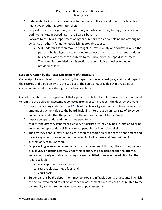- 1. Independently institute proceedings for recovery of the amount due to the Board or for injunctive or other appropriate relief;
- 2. Request the attorney general, or the county or district attorney having jurisdiction, or both, to institute proceedings in the Board's behalf; or
- 3. Forward to the Texas Department of Agriculture for action a complaint and any original evidence or other information establishing probable cause.
	- a. Suit under this section may be brought in Travis County or a county in which the person who is alleged to have failed to collect or remit an assessment conducts business related to pecans subject to the uncollected or unpaid assessment.
	- b. The remedies provided by this section are cumulative of other remedies provided by law.

# **Section 7. Action by the Texas Department of Agriculture**

On receipt of a complaint from the Board, the department may investigate, audit, and inspect the records of the person who is the subject of the complaint, provided that any audit or inspection must take place during normal business hours.

On determination by the department that a person has failed to collect an assessment or failed to remit to the Board an assessment collected from a pecan producer, the department may:

- 1. request a hearing under Section 12.032 of the Texas Agriculture Code to determine the amount of payment due to the board, including interest at an annual rate of 10 percent, and issue an order that the person pay the required amount to the Board;
- 2. impose an appropriate administrative penalty; and
- 3. request the attorney general or a county or district attorney having jurisdiction to bring an action for appropriate civil or criminal penalties or injunctive relief.
- 4. The attorney general may bring a civil action to enforce an order of the department and collect any amounts owed under the order, including costs and fees outlined in subsection 5 of this Section.
- 5. On prevailing in an action commenced by the department through the attorney general or a county or district attorney under this section, the department and the attorney general or county or district attorney are each entitled to recover, in addition to other relief available:
	- a. investigation costs and fees;
	- b. reasonable attorney's fees; and
	- c. court costs.
- 6. Suit under this by the department may be brought in Travis County or a county in which the person who failed to collect or remit an assessment conducts business related to the commodity subject to the uncollected or unpaid assessment.